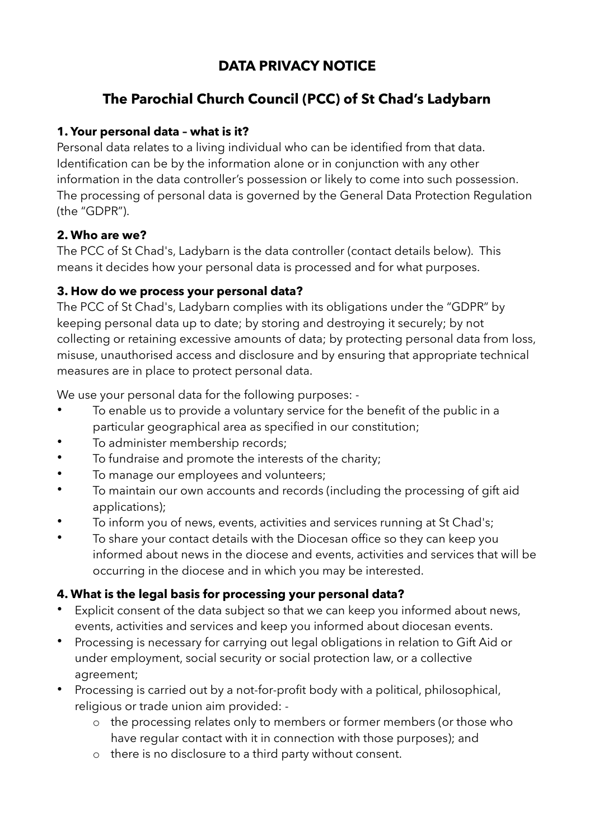# **DATA PRIVACY NOTICE**

# **The Parochial Church Council (PCC) of St Chad's Ladybarn**

# **1. Your personal data – what is it?**

Personal data relates to a living individual who can be identified from that data. Identification can be by the information alone or in conjunction with any other information in the data controller's possession or likely to come into such possession. The processing of personal data is governed by the General Data Protection Regulation (the "GDPR").

#### **2. Who are we?**

The PCC of St Chad's, Ladybarn is the data controller (contact details below). This means it decides how your personal data is processed and for what purposes.

# **3. How do we process your personal data?**

The PCC of St Chad's, Ladybarn complies with its obligations under the "GDPR" by keeping personal data up to date; by storing and destroying it securely; by not collecting or retaining excessive amounts of data; by protecting personal data from loss, misuse, unauthorised access and disclosure and by ensuring that appropriate technical measures are in place to protect personal data.

We use your personal data for the following purposes: -

- To enable us to provide a voluntary service for the benefit of the public in a particular geographical area as specified in our constitution;
- To administer membership records:
- To fundraise and promote the interests of the charity;
- To manage our employees and volunteers;
- To maintain our own accounts and records (including the processing of gift aid applications);
- To inform you of news, events, activities and services running at St Chad's;
- To share your contact details with the Diocesan office so they can keep you informed about news in the diocese and events, activities and services that will be occurring in the diocese and in which you may be interested.

# **4. What is the legal basis for processing your personal data?**

- Explicit consent of the data subject so that we can keep you informed about news, events, activities and services and keep you informed about diocesan events.
- Processing is necessary for carrying out legal obligations in relation to Gift Aid or under employment, social security or social protection law, or a collective agreement;
- Processing is carried out by a not-for-profit body with a political, philosophical, religious or trade union aim provided:
	- o the processing relates only to members or former members (or those who have regular contact with it in connection with those purposes); and
	- o there is no disclosure to a third party without consent.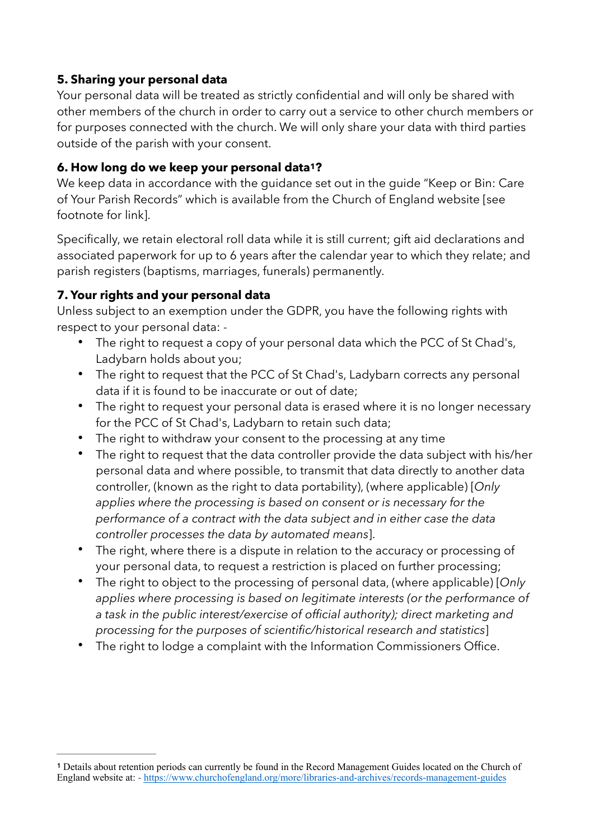#### **5. Sharing your personal data**

Your personal data will be treated as strictly confidential and will only be shared with other members of the church in order to carry out a service to other church members or for purposes connected with the church. We will only share your data with third parties outside of the parish with your consent.

# <span id="page-1-1"></span>**6. How long do we keep your personal data[1](#page-1-0)?**

We keep data in accordance with the guidance set out in the guide "Keep or Bin: Care of Your Parish Records" which is available from the Church of England website [see footnote for link].

Specifically, we retain electoral roll data while it is still current; gift aid declarations and associated paperwork for up to 6 years after the calendar year to which they relate; and parish registers (baptisms, marriages, funerals) permanently.

# **7. Your rights and your personal data**

Unless subject to an exemption under the GDPR, you have the following rights with respect to your personal data: -

- The right to request a copy of your personal data which the PCC of St Chad's, Ladybarn holds about you;
- The right to request that the PCC of St Chad's, Ladybarn corrects any personal data if it is found to be inaccurate or out of date;
- The right to request your personal data is erased where it is no longer necessary for the PCC of St Chad's, Ladybarn to retain such data;
- The right to withdraw your consent to the processing at any time
- The right to request that the data controller provide the data subject with his/her personal data and where possible, to transmit that data directly to another data controller, (known as the right to data portability), (where applicable) [*Only applies where the processing is based on consent or is necessary for the performance of a contract with the data subject and in either case the data controller processes the data by automated means*].
- The right, where there is a dispute in relation to the accuracy or processing of your personal data, to request a restriction is placed on further processing;
- The right to object to the processing of personal data, (where applicable) [*Only applies where processing is based on legitimate interests (or the performance of a task in the public interest/exercise of official authority); direct marketing and processing for the purposes of scientific/historical research and statistics*]
- The right to lodge a complaint with the Information Commissioners Office.

<span id="page-1-0"></span>Details about retention periods can currently be found in the Record Management Guides located on the Church of **[1](#page-1-1)** England website at: -<https://www.churchofengland.org/more/libraries-and-archives/records-management-guides>